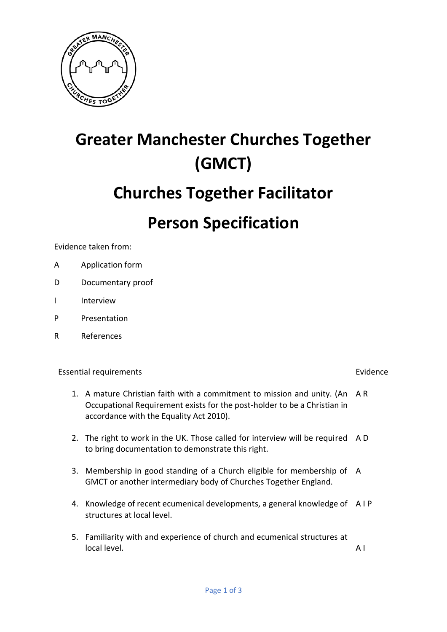

# **Greater Manchester Churches Together (GMCT)**

## **Churches Together Facilitator**

### **Person Specification**

Evidence taken from:

- A Application form
- D Documentary proof
- I Interview
- P Presentation
- R References

#### Essential requirements **Extending Contract Contract Contract Contract Contract Contract Contract Contract Contract Contract Contract Contract Contract Contract Contract Contract Contract Contract Contract Contract Contract**

- 1. A mature Christian faith with a commitment to mission and unity. (An A R Occupational Requirement exists for the post-holder to be a Christian in accordance with the Equality Act 2010).
- 2. The right to work in the UK. Those called for interview will be required A D to bring documentation to demonstrate this right.
- 3. Membership in good standing of a Church eligible for membership of A GMCT or another intermediary body of Churches Together England.
- 4. Knowledge of recent ecumenical developments, a general knowledge of A I P structures at local level.
- 5. Familiarity with and experience of church and ecumenical structures at local level. A I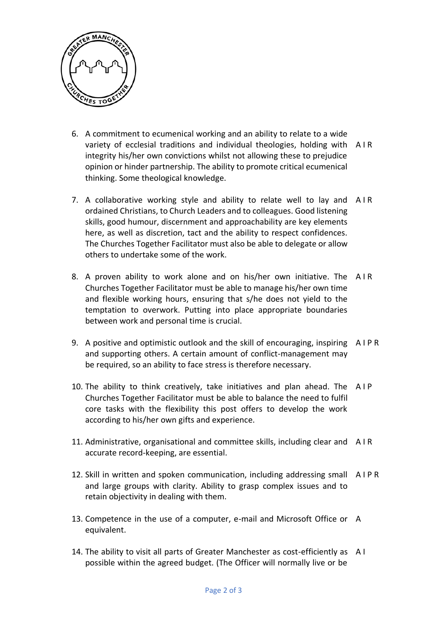

- 6. A commitment to ecumenical working and an ability to relate to a wide variety of ecclesial traditions and individual theologies, holding with A I R integrity his/her own convictions whilst not allowing these to prejudice opinion or hinder partnership. The ability to promote critical ecumenical thinking. Some theological knowledge.
- 7. A collaborative working style and ability to relate well to lay and A I R ordained Christians, to Church Leaders and to colleagues. Good listening skills, good humour, discernment and approachability are key elements here, as well as discretion, tact and the ability to respect confidences. The Churches Together Facilitator must also be able to delegate or allow others to undertake some of the work.
- 8. A proven ability to work alone and on his/her own initiative. The A I R Churches Together Facilitator must be able to manage his/her own time and flexible working hours, ensuring that s/he does not yield to the temptation to overwork. Putting into place appropriate boundaries between work and personal time is crucial.
- 9. A positive and optimistic outlook and the skill of encouraging, inspiring A I P R and supporting others. A certain amount of conflict-management may be required, so an ability to face stress is therefore necessary.
- 10. The ability to think creatively, take initiatives and plan ahead. The A I P Churches Together Facilitator must be able to balance the need to fulfil core tasks with the flexibility this post offers to develop the work according to his/her own gifts and experience.
- 11. Administrative, organisational and committee skills, including clear and A I R accurate record-keeping, are essential.
- 12. Skill in written and spoken communication, including addressing small A I P R and large groups with clarity. Ability to grasp complex issues and to retain objectivity in dealing with them.
- 13. Competence in the use of a computer, e-mail and Microsoft Office or A equivalent.
- 14. The ability to visit all parts of Greater Manchester as cost-efficiently as A Ipossible within the agreed budget. (The Officer will normally live or be